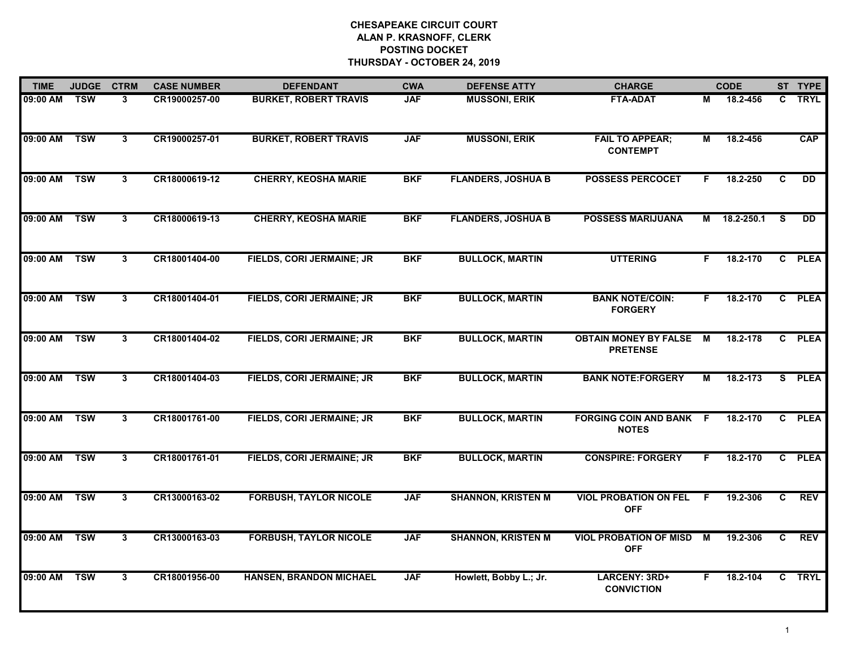| <b>TIME</b> | <b>JUDGE</b> | <b>CTRM</b>    | <b>CASE NUMBER</b> | <b>DEFENDANT</b>                 | <b>CWA</b> | <b>DEFENSE ATTY</b>       | <b>CHARGE</b>                                   |    | <b>CODE</b> |              | ST TYPE    |
|-------------|--------------|----------------|--------------------|----------------------------------|------------|---------------------------|-------------------------------------------------|----|-------------|--------------|------------|
| 09:00 AM    | <b>TSW</b>   | 3              | CR19000257-00      | <b>BURKET, ROBERT TRAVIS</b>     | <b>JAF</b> | <b>MUSSONI, ERIK</b>      | <b>FTA-ADAT</b>                                 | М  | 18.2-456    | C.           | TRYL       |
| 09:00 AM    | <b>TSW</b>   | $\mathbf{3}$   | CR19000257-01      | <b>BURKET, ROBERT TRAVIS</b>     | <b>JAF</b> | <b>MUSSONI, ERIK</b>      | <b>FAIL TO APPEAR;</b><br><b>CONTEMPT</b>       | М  | 18.2-456    |              | <b>CAP</b> |
| 09:00 AM    | <b>TSW</b>   | $3\phantom{a}$ | CR18000619-12      | <b>CHERRY, KEOSHA MARIE</b>      | <b>BKF</b> | <b>FLANDERS, JOSHUA B</b> | <b>POSSESS PERCOCET</b>                         | F  | 18.2-250    | $\mathbf{C}$ | <b>DD</b>  |
| 09:00 AM    | <b>TSW</b>   | 3              | CR18000619-13      | <b>CHERRY, KEOSHA MARIE</b>      | <b>BKF</b> | <b>FLANDERS, JOSHUA B</b> | <b>POSSESS MARIJUANA</b>                        | М  | 18.2-250.1  | S.           | <b>DD</b>  |
| 09:00 AM    | <b>TSW</b>   | 3              | CR18001404-00      | FIELDS, CORI JERMAINE; JR        | <b>BKF</b> | <b>BULLOCK, MARTIN</b>    | <b>UTTERING</b>                                 | F. | 18.2-170    |              | C PLEA     |
| 09:00 AM    | <b>TSW</b>   | $\mathbf{3}$   | CR18001404-01      | FIELDS, CORI JERMAINE; JR        | <b>BKF</b> | <b>BULLOCK, MARTIN</b>    | <b>BANK NOTE/COIN:</b><br><b>FORGERY</b>        | F. | 18.2-170    |              | C PLEA     |
| 09:00 AM    | <b>TSW</b>   | $\mathbf{3}$   | CR18001404-02      | <b>FIELDS, CORI JERMAINE; JR</b> | <b>BKF</b> | <b>BULLOCK, MARTIN</b>    | <b>OBTAIN MONEY BY FALSE</b><br><b>PRETENSE</b> | M  | 18.2-178    |              | C PLEA     |
| 09:00 AM    | <b>TSW</b>   | $\mathbf{3}$   | CR18001404-03      | FIELDS, CORI JERMAINE; JR        | <b>BKF</b> | <b>BULLOCK, MARTIN</b>    | <b>BANK NOTE:FORGERY</b>                        | М  | 18.2-173    |              | S PLEA     |
| 09:00 AM    | <b>TSW</b>   | 3              | CR18001761-00      | <b>FIELDS, CORI JERMAINE; JR</b> | <b>BKF</b> | <b>BULLOCK, MARTIN</b>    | <b>FORGING COIN AND BANK F</b><br><b>NOTES</b>  |    | 18.2-170    |              | C PLEA     |
| 09:00 AM    | <b>TSW</b>   | 3              | CR18001761-01      | FIELDS, CORI JERMAINE; JR        | <b>BKF</b> | <b>BULLOCK, MARTIN</b>    | <b>CONSPIRE: FORGERY</b>                        | F. | 18.2-170    |              | C PLEA     |
| 09:00 AM    | <b>TSW</b>   | 3              | CR13000163-02      | <b>FORBUSH, TAYLOR NICOLE</b>    | <b>JAF</b> | <b>SHANNON, KRISTEN M</b> | <b>VIOL PROBATION ON FEL</b><br><b>OFF</b>      | F. | 19.2-306    | C.           | <b>REV</b> |
| 09:00 AM    | <b>TSW</b>   | 3              | CR13000163-03      | <b>FORBUSH, TAYLOR NICOLE</b>    | <b>JAF</b> | <b>SHANNON, KRISTEN M</b> | <b>VIOL PROBATION OF MISD</b><br><b>OFF</b>     | M  | 19.2-306    | C            | <b>REV</b> |
| 09:00 AM    | <b>TSW</b>   | $\mathbf{3}$   | CR18001956-00      | <b>HANSEN, BRANDON MICHAEL</b>   | <b>JAF</b> | Howlett, Bobby L.; Jr.    | <b>LARCENY: 3RD+</b><br><b>CONVICTION</b>       | F. | 18.2-104    |              | C TRYL     |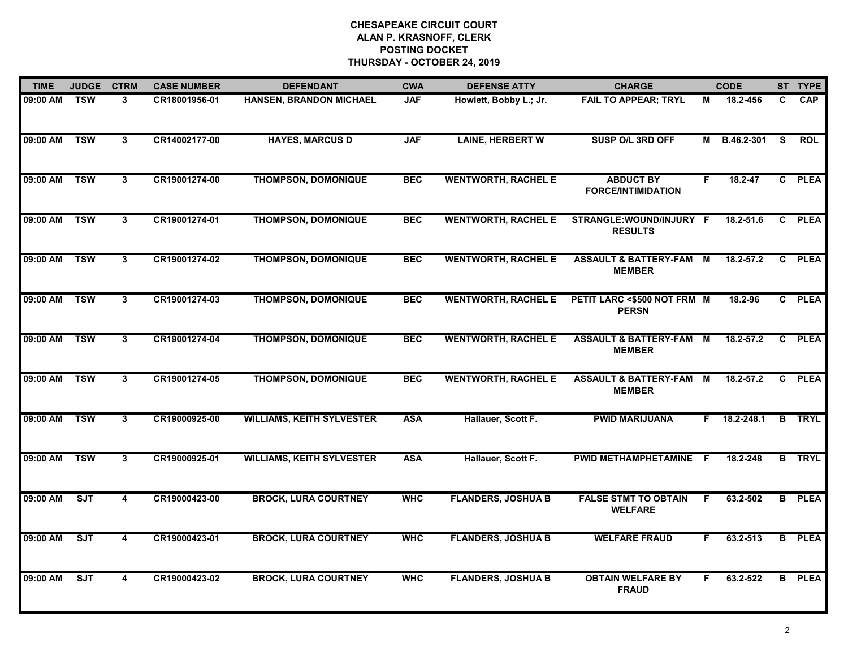| <b>TIME</b>  | <b>JUDGE</b> | <b>CTRM</b>    | <b>CASE NUMBER</b> | <b>DEFENDANT</b>                 | <b>CWA</b> | <b>DEFENSE ATTY</b>        | <b>CHARGE</b>                                       |    | <b>CODE</b> |    | ST TYPE       |
|--------------|--------------|----------------|--------------------|----------------------------------|------------|----------------------------|-----------------------------------------------------|----|-------------|----|---------------|
| 09:00 AM     | <b>TSW</b>   | 3              | CR18001956-01      | HANSEN, BRANDON MICHAEL          | <b>JAF</b> | Howlett, Bobby L.; Jr.     | <b>FAIL TO APPEAR; TRYL</b>                         | М  | 18.2-456    | C. | <b>CAP</b>    |
| 09:00 AM     | <b>TSW</b>   | $3^{\circ}$    | CR14002177-00      | <b>HAYES, MARCUS D</b>           | <b>JAF</b> | <b>LAINE, HERBERT W</b>    | SUSP O/L 3RD OFF                                    | м  | B.46.2-301  | S. | <b>ROL</b>    |
| 09:00 AM     | <b>TSW</b>   | $\mathbf{3}$   | CR19001274-00      | <b>THOMPSON, DOMONIQUE</b>       | <b>BEC</b> | <b>WENTWORTH, RACHEL E</b> | <b>ABDUCT BY</b><br><b>FORCE/INTIMIDATION</b>       | F. | 18.2-47     |    | C PLEA        |
| 09:00 AM     | <b>TSW</b>   | 3              | CR19001274-01      | <b>THOMPSON, DOMONIQUE</b>       | <b>BEC</b> | <b>WENTWORTH, RACHEL E</b> | STRANGLE: WOUND/INJURY F<br><b>RESULTS</b>          |    | 18.2-51.6   |    | C PLEA        |
| 09:00 AM     | <b>TSW</b>   | 3              | CR19001274-02      | <b>THOMPSON, DOMONIQUE</b>       | <b>BEC</b> | <b>WENTWORTH, RACHEL E</b> | <b>ASSAULT &amp; BATTERY-FAM M</b><br><b>MEMBER</b> |    | 18.2-57.2   | C. | <b>PLEA</b>   |
| 09:00 AM TSW |              | 3              | CR19001274-03      | <b>THOMPSON, DOMONIQUE</b>       | <b>BEC</b> | <b>WENTWORTH, RACHEL E</b> | PETIT LARC <\$500 NOT FRM M<br><b>PERSN</b>         |    | 18.2-96     |    | C PLEA        |
| 09:00 AM     | <b>TSW</b>   | $\mathbf{3}$   | CR19001274-04      | <b>THOMPSON, DOMONIQUE</b>       | <b>BEC</b> | <b>WENTWORTH, RACHEL E</b> | <b>ASSAULT &amp; BATTERY-FAM</b><br><b>MEMBER</b>   | M  | 18.2-57.2   |    | C PLEA        |
| 09:00 AM     | <b>TSW</b>   | $\overline{3}$ | CR19001274-05      | <b>THOMPSON, DOMONIQUE</b>       | <b>BEC</b> | <b>WENTWORTH, RACHEL E</b> | <b>ASSAULT &amp; BATTERY-FAM M</b><br><b>MEMBER</b> |    | 18.2-57.2   |    | C PLEA        |
| 09:00 AM     | <b>TSW</b>   | 3              | CR19000925-00      | <b>WILLIAMS, KEITH SYLVESTER</b> | <b>ASA</b> | Hallauer, Scott F.         | <b>PWID MARIJUANA</b>                               | F. | 18.2-248.1  |    | <b>B</b> TRYL |
| 09:00 AM     | <b>TSW</b>   | 3              | CR19000925-01      | <b>WILLIAMS, KEITH SYLVESTER</b> | <b>ASA</b> | Hallauer, Scott F.         | PWID METHAMPHETAMINE                                | -F | 18.2-248    |    | <b>B</b> TRYL |
| 09:00 AM     | SJT          | 4              | CR19000423-00      | <b>BROCK, LURA COURTNEY</b>      | <b>WHC</b> | <b>FLANDERS, JOSHUA B</b>  | <b>FALSE STMT TO OBTAIN</b><br><b>WELFARE</b>       | F  | 63.2-502    |    | <b>B</b> PLEA |
| 09:00 AM     | ST           | 4              | CR19000423-01      | <b>BROCK, LURA COURTNEY</b>      | <b>WHC</b> | <b>FLANDERS, JOSHUA B</b>  | <b>WELFARE FRAUD</b>                                | F. | 63.2-513    |    | <b>B</b> PLEA |
| 09:00 AM     | ST           | 4              | CR19000423-02      | <b>BROCK, LURA COURTNEY</b>      | <b>WHC</b> | <b>FLANDERS, JOSHUA B</b>  | <b>OBTAIN WELFARE BY</b><br><b>FRAUD</b>            | F  | 63.2-522    |    | <b>B</b> PLEA |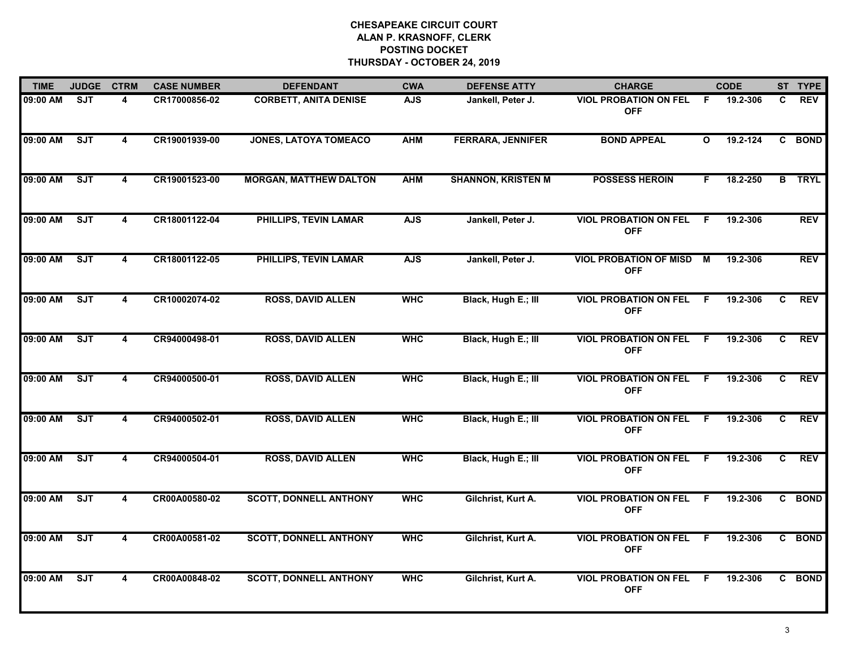| <b>TIME</b> | <b>JUDGE</b> | <b>CTRM</b>             | <b>CASE NUMBER</b> | <b>DEFENDANT</b>              | <b>CWA</b> | <b>DEFENSE ATTY</b>       | <b>CHARGE</b>                               |              | <b>CODE</b>  |              | ST TYPE       |
|-------------|--------------|-------------------------|--------------------|-------------------------------|------------|---------------------------|---------------------------------------------|--------------|--------------|--------------|---------------|
| 09:00 AM    | <b>SJT</b>   | 4                       | CR17000856-02      | <b>CORBETT, ANITA DENISE</b>  | <b>AJS</b> | Jankell, Peter J.         | <b>VIOL PROBATION ON FEL</b><br><b>OFF</b>  | F.           | 19.2-306     | C.           | <b>REV</b>    |
| 09:00 AM    | SJT          | $\overline{\mathbf{4}}$ | CR19001939-00      | JONES, LATOYA TOMEACO         | <b>AHM</b> | <b>FERRARA, JENNIFER</b>  | <b>BOND APPEAL</b>                          | $\mathbf{o}$ | $19.2 - 124$ |              | C BOND        |
| 09:00 AM    | ST           | 4                       | CR19001523-00      | <b>MORGAN, MATTHEW DALTON</b> | <b>AHM</b> | <b>SHANNON, KRISTEN M</b> | <b>POSSESS HEROIN</b>                       | F.           | 18.2-250     |              | <b>B</b> TRYL |
| 09:00 AM    | SJT          | 4                       | CR18001122-04      | PHILLIPS, TEVIN LAMAR         | <b>AJS</b> | Jankell, Peter J.         | <b>VIOL PROBATION ON FEL</b><br><b>OFF</b>  | F.           | 19.2-306     |              | <b>REV</b>    |
| 09:00 AM    | ST           | 4                       | CR18001122-05      | <b>PHILLIPS, TEVIN LAMAR</b>  | <b>AJS</b> | Jankell, Peter J.         | <b>VIOL PROBATION OF MISD</b><br><b>OFF</b> | M            | 19.2-306     |              | <b>REV</b>    |
| 09:00 AM    | SJT          | 4                       | CR10002074-02      | <b>ROSS, DAVID ALLEN</b>      | <b>WHC</b> | Black, Hugh E.; III       | <b>VIOL PROBATION ON FEL</b><br><b>OFF</b>  | -F           | 19.2-306     | C.           | <b>REV</b>    |
| 09:00 AM    | SJT          | $\overline{\mathbf{4}}$ | CR94000498-01      | <b>ROSS, DAVID ALLEN</b>      | <b>WHC</b> | Black, Hugh E.; III       | <b>VIOL PROBATION ON FEL</b><br><b>OFF</b>  | F.           | 19.2-306     | C            | <b>REV</b>    |
| 09:00 AM    | SJT          | $\overline{\mathbf{4}}$ | CR94000500-01      | <b>ROSS, DAVID ALLEN</b>      | <b>WHC</b> | Black, Hugh E.; III       | <b>VIOL PROBATION ON FEL</b><br><b>OFF</b>  | F            | 19.2-306     | $\mathbf{c}$ | <b>REV</b>    |
| 09:00 AM    | <b>SJT</b>   | 4                       | CR94000502-01      | <b>ROSS, DAVID ALLEN</b>      | <b>WHC</b> | Black, Hugh E.; III       | <b>VIOL PROBATION ON FEL</b><br><b>OFF</b>  | F.           | 19.2-306     | C            | <b>REV</b>    |
| 09:00 AM    | <b>SJT</b>   | 4                       | CR94000504-01      | <b>ROSS, DAVID ALLEN</b>      | <b>WHC</b> | Black, Hugh E.; III       | <b>VIOL PROBATION ON FEL</b><br><b>OFF</b>  | F.           | 19.2-306     | C.           | <b>REV</b>    |
| 09:00 AM    | SJT          | 4                       | CR00A00580-02      | <b>SCOTT, DONNELL ANTHONY</b> | <b>WHC</b> | Gilchrist, Kurt A.        | <b>VIOL PROBATION ON FEL</b><br><b>OFF</b>  | -F.          | 19.2-306     |              | C BOND        |
| 09:00 AM    | ST           | 4                       | CR00A00581-02      | <b>SCOTT, DONNELL ANTHONY</b> | <b>WHC</b> | Gilchrist, Kurt A.        | <b>VIOL PROBATION ON FEL</b><br><b>OFF</b>  | F.           | 19.2-306     |              | C BOND        |
| 09:00 AM    | SJT          | 4                       | CR00A00848-02      | <b>SCOTT, DONNELL ANTHONY</b> | <b>WHC</b> | Gilchrist, Kurt A.        | <b>VIOL PROBATION ON FEL</b><br><b>OFF</b>  | F            | 19.2-306     |              | C BOND        |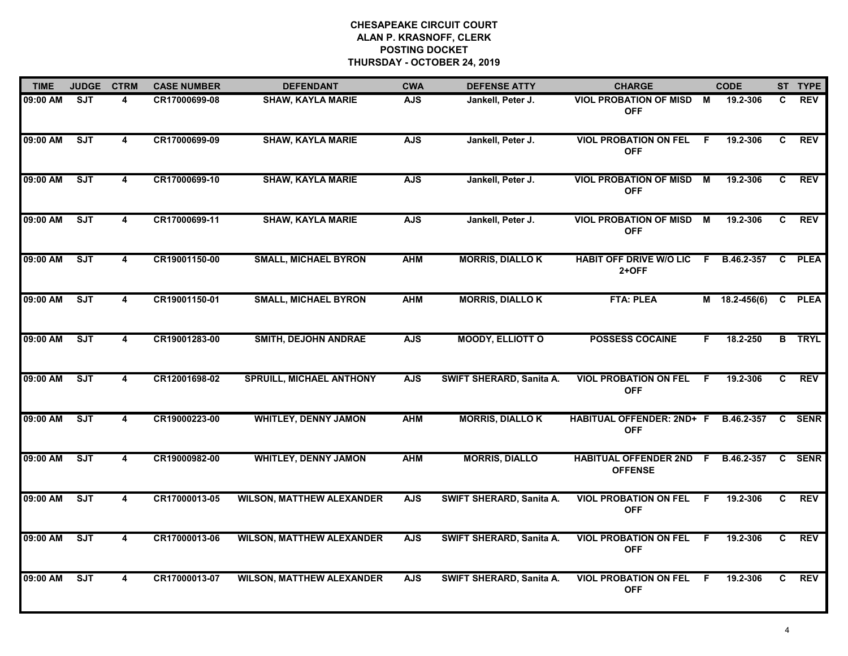| <b>TIME</b> | <b>JUDGE</b> | <b>CTRM</b>             | <b>CASE NUMBER</b> | <b>DEFENDANT</b>                 | <b>CWA</b> | <b>DEFENSE ATTY</b>      | <b>CHARGE</b>                                        |     | <b>CODE</b>     |              | ST TYPE       |
|-------------|--------------|-------------------------|--------------------|----------------------------------|------------|--------------------------|------------------------------------------------------|-----|-----------------|--------------|---------------|
| 09:00 AM    | <b>SJT</b>   | 4                       | CR17000699-08      | <b>SHAW, KAYLA MARIE</b>         | <b>AJS</b> | Jankell, Peter J.        | <b>VIOL PROBATION OF MISD</b><br><b>OFF</b>          | M   | 19.2-306        | C            | <b>REV</b>    |
| 09:00 AM    | SJT          | $\overline{\mathbf{4}}$ | CR17000699-09      | <b>SHAW, KAYLA MARIE</b>         | <b>AJS</b> | Jankell, Peter J.        | <b>VIOL PROBATION ON FEL</b><br><b>OFF</b>           | F.  | 19.2-306        | C            | <b>REV</b>    |
| 09:00 AM    | ST           | $\overline{\mathbf{4}}$ | CR17000699-10      | <b>SHAW, KAYLA MARIE</b>         | <b>AJS</b> | Jankell, Peter J.        | <b>VIOL PROBATION OF MISD</b><br><b>OFF</b>          | M   | 19.2-306        | $\mathbf{C}$ | <b>REV</b>    |
| 09:00 AM    | SJT          | $\overline{\mathbf{4}}$ | CR17000699-11      | <b>SHAW, KAYLA MARIE</b>         | <b>AJS</b> | Jankell, Peter J.        | <b>VIOL PROBATION OF MISD</b><br><b>OFF</b>          | M   | 19.2-306        | C            | <b>REV</b>    |
| 09:00 AM    | ST           | 4                       | CR19001150-00      | <b>SMALL, MICHAEL BYRON</b>      | <b>AHM</b> | <b>MORRIS, DIALLO K</b>  | HABIT OFF DRIVE W/O LIC F B.46.2-357<br>$2+OFF$      |     |                 | C            | <b>PLEA</b>   |
| 09:00 AM    | SJT          | 4                       | CR19001150-01      | <b>SMALL, MICHAEL BYRON</b>      | <b>AHM</b> | <b>MORRIS, DIALLO K</b>  | <b>FTA: PLEA</b>                                     |     | $M$ 18.2-456(6) | C            | <b>PLEA</b>   |
| 09:00 AM    | SJT          | $\overline{\mathbf{4}}$ | CR19001283-00      | <b>SMITH, DEJOHN ANDRAE</b>      | <b>AJS</b> | <b>MOODY, ELLIOTT O</b>  | <b>POSSESS COCAINE</b>                               | F.  | 18.2-250        |              | <b>B</b> TRYL |
| 09:00 AM    | SJT          | $\overline{\mathbf{4}}$ | CR12001698-02      | <b>SPRUILL, MICHAEL ANTHONY</b>  | <b>AJS</b> | SWIFT SHERARD, Sanita A. | <b>VIOL PROBATION ON FEL</b><br><b>OFF</b>           | F   | 19.2-306        | C            | <b>REV</b>    |
| 09:00 AM    | ST           | 4                       | CR19000223-00      | <b>WHITLEY, DENNY JAMON</b>      | <b>AHM</b> | <b>MORRIS, DIALLO K</b>  | HABITUAL OFFENDER: 2ND+ F<br><b>OFF</b>              |     | B.46.2-357      | C.           | <b>SENR</b>   |
| 09:00 AM    | ST           | 4                       | CR19000982-00      | <b>WHITLEY, DENNY JAMON</b>      | <b>AHM</b> | <b>MORRIS, DIALLO</b>    | HABITUAL OFFENDER 2ND F B.46.2-357<br><b>OFFENSE</b> |     |                 | C            | <b>SENR</b>   |
| 09:00 AM    | SJT          | $\overline{\mathbf{4}}$ | CR17000013-05      | <b>WILSON, MATTHEW ALEXANDER</b> | <b>AJS</b> | SWIFT SHERARD, Sanita A. | <b>VIOL PROBATION ON FEL</b><br><b>OFF</b>           | - F | 19.2-306        | C.           | <b>REV</b>    |
| 09:00 AM    | SJT          | 4                       | CR17000013-06      | <b>WILSON, MATTHEW ALEXANDER</b> | <b>AJS</b> | SWIFT SHERARD, Sanita A. | <b>VIOL PROBATION ON FEL</b><br><b>OFF</b>           | F.  | 19.2-306        | C            | <b>REV</b>    |
| 09:00 AM    | SJT          | 4                       | CR17000013-07      | <b>WILSON, MATTHEW ALEXANDER</b> | <b>AJS</b> | SWIFT SHERARD, Sanita A. | <b>VIOL PROBATION ON FEL</b><br><b>OFF</b>           | E   | 19.2-306        | C            | <b>REV</b>    |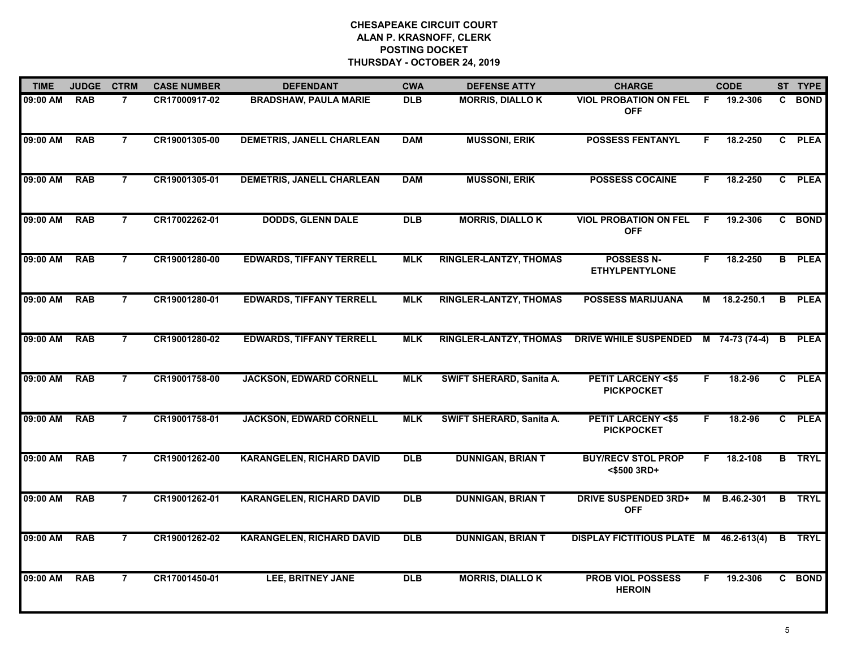| <b>TIME</b> | <b>JUDGE</b> | <b>CTRM</b>    | <b>CASE NUMBER</b> | <b>DEFENDANT</b>                 | <b>CWA</b> | <b>DEFENSE ATTY</b>           | <b>CHARGE</b>                                     |    | <b>CODE</b>    |   | ST TYPE       |
|-------------|--------------|----------------|--------------------|----------------------------------|------------|-------------------------------|---------------------------------------------------|----|----------------|---|---------------|
| 09:00 AM    | <b>RAB</b>   | $\overline{7}$ | CR17000917-02      | <b>BRADSHAW, PAULA MARIE</b>     | <b>DLB</b> | <b>MORRIS, DIALLO K</b>       | <b>VIOL PROBATION ON FEL</b><br><b>OFF</b>        | F. | 19.2-306       | C | <b>BOND</b>   |
| 09:00 AM    | <b>RAB</b>   | $\overline{7}$ | CR19001305-00      | <b>DEMETRIS, JANELL CHARLEAN</b> | <b>DAM</b> | <b>MUSSONI, ERIK</b>          | <b>POSSESS FENTANYL</b>                           | F. | 18.2-250       |   | C PLEA        |
| 09:00 AM    | <b>RAB</b>   | $\overline{7}$ | CR19001305-01      | <b>DEMETRIS, JANELL CHARLEAN</b> | <b>DAM</b> | <b>MUSSONI, ERIK</b>          | <b>POSSESS COCAINE</b>                            | F. | 18.2-250       |   | C PLEA        |
| 09:00 AM    | <b>RAB</b>   | $\overline{7}$ | CR17002262-01      | <b>DODDS, GLENN DALE</b>         | <b>DLB</b> | <b>MORRIS, DIALLOK</b>        | <b>VIOL PROBATION ON FEL</b><br><b>OFF</b>        | F. | 19.2-306       |   | C BOND        |
| 09:00 AM    | <b>RAB</b>   | 7              | CR19001280-00      | <b>EDWARDS, TIFFANY TERRELL</b>  | <b>MLK</b> | <b>RINGLER-LANTZY, THOMAS</b> | <b>POSSESS N-</b><br><b>ETHYLPENTYLONE</b>        | F. | 18.2-250       |   | <b>B</b> PLEA |
| 09:00 AM    | <b>RAB</b>   | $\overline{7}$ | CR19001280-01      | <b>EDWARDS, TIFFANY TERRELL</b>  | <b>MLK</b> | <b>RINGLER-LANTZY, THOMAS</b> | <b>POSSESS MARIJUANA</b>                          | М  | 18.2-250.1     |   | <b>B</b> PLEA |
| 09:00 AM    | <b>RAB</b>   | $\overline{7}$ | CR19001280-02      | <b>EDWARDS, TIFFANY TERRELL</b>  | <b>MLK</b> | <b>RINGLER-LANTZY, THOMAS</b> | DRIVE WHILE SUSPENDED                             |    | M 74-73 (74-4) |   | <b>B</b> PLEA |
| 09:00 AM    | <b>RAB</b>   | $\overline{7}$ | CR19001758-00      | <b>JACKSON, EDWARD CORNELL</b>   | <b>MLK</b> | SWIFT SHERARD, Sanita A.      | <b>PETIT LARCENY &lt;\$5</b><br><b>PICKPOCKET</b> | F. | 18.2-96        |   | C PLEA        |
| 09:00 AM    | <b>RAB</b>   | $\overline{7}$ | CR19001758-01      | <b>JACKSON, EDWARD CORNELL</b>   | <b>MLK</b> | SWIFT SHERARD, Sanita A.      | <b>PETIT LARCENY &lt;\$5</b><br><b>PICKPOCKET</b> | F. | 18.2-96        |   | C PLEA        |
| 09:00 AM    | <b>RAB</b>   | 7              | CR19001262-00      | <b>KARANGELEN, RICHARD DAVID</b> | <b>DLB</b> | <b>DUNNIGAN, BRIAN T</b>      | <b>BUY/RECV STOL PROP</b><br><\$500 3RD+          | F. | 18.2-108       |   | <b>B</b> TRYL |
| 09:00 AM    | <b>RAB</b>   | $\overline{7}$ | CR19001262-01      | <b>KARANGELEN, RICHARD DAVID</b> | <b>DLB</b> | <b>DUNNIGAN, BRIAN T</b>      | <b>DRIVE SUSPENDED 3RD+</b><br><b>OFF</b>         | М  | B.46.2-301     |   | <b>B</b> TRYL |
| 09:00 AM    | <b>RAB</b>   | $\overline{7}$ | CR19001262-02      | <b>KARANGELEN, RICHARD DAVID</b> | DLB        | <b>DUNNIGAN, BRIAN T</b>      | <b>DISPLAY FICTITIOUS PLATE M</b>                 |    | 46.2-613(4)    | B | TRYL          |
| 09:00 AM    | <b>RAB</b>   | $\overline{7}$ | CR17001450-01      | <b>LEE, BRITNEY JANE</b>         | <b>DLB</b> | <b>MORRIS, DIALLOK</b>        | <b>PROB VIOL POSSESS</b><br><b>HEROIN</b>         | F. | 19.2-306       |   | C BOND        |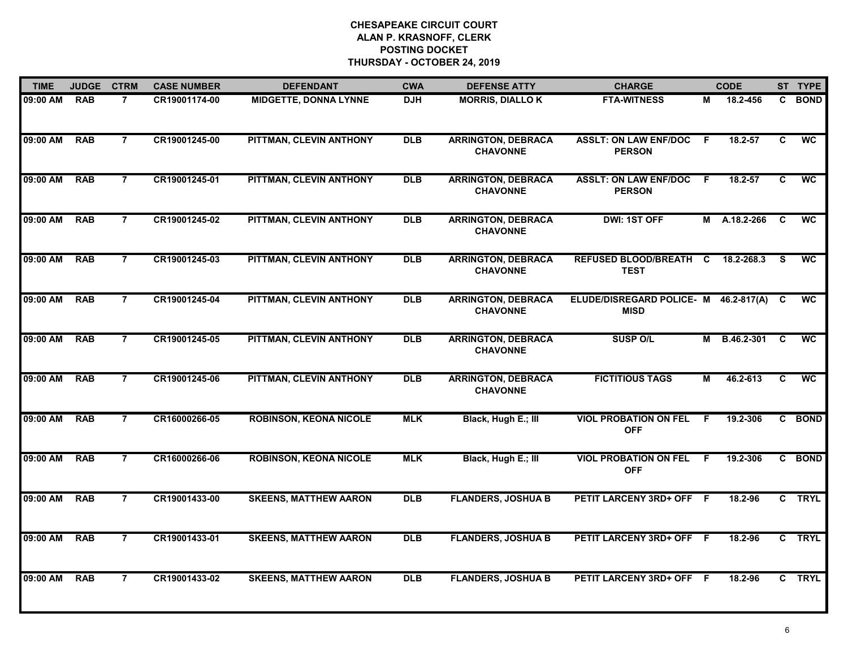| <b>TIME</b> | <b>JUDGE</b> | <b>CTRM</b>    | <b>CASE NUMBER</b> | <b>DEFENDANT</b>              | <b>CWA</b> | <b>DEFENSE ATTY</b>                          | <b>CHARGE</b>                                        |     | <b>CODE</b>  |    | ST TYPE         |
|-------------|--------------|----------------|--------------------|-------------------------------|------------|----------------------------------------------|------------------------------------------------------|-----|--------------|----|-----------------|
| 09:00 AM    | <b>RAB</b>   | $\overline{7}$ | CR19001174-00      | <b>MIDGETTE, DONNA LYNNE</b>  | <b>DJH</b> | <b>MORRIS, DIALLO K</b>                      | <b>FTA-WITNESS</b>                                   | М   | 18.2-456     |    | C BOND          |
| 09:00 AM    | <b>RAB</b>   | $\overline{7}$ | CR19001245-00      | PITTMAN, CLEVIN ANTHONY       | <b>DLB</b> | <b>ARRINGTON, DEBRACA</b><br><b>CHAVONNE</b> | <b>ASSLT: ON LAW ENF/DOC</b><br><b>PERSON</b>        | F.  | 18.2-57      | C  | <b>WC</b>       |
| 09:00 AM    | <b>RAB</b>   | $\overline{7}$ | CR19001245-01      | PITTMAN, CLEVIN ANTHONY       | <b>DLB</b> | <b>ARRINGTON, DEBRACA</b><br><b>CHAVONNE</b> | <b>ASSLT: ON LAW ENF/DOC</b><br><b>PERSON</b>        | - F | 18.2-57      | C  | <b>WC</b>       |
| 09:00 AM    | <b>RAB</b>   | 7              | CR19001245-02      | PITTMAN, CLEVIN ANTHONY       | <b>DLB</b> | <b>ARRINGTON, DEBRACA</b><br><b>CHAVONNE</b> | DWI: 1ST OFF                                         |     | M A.18.2-266 | C  | WC              |
| 09:00 AM    | <b>RAB</b>   | $\overline{7}$ | CR19001245-03      | PITTMAN, CLEVIN ANTHONY       | <b>DLB</b> | <b>ARRINGTON, DEBRACA</b><br><b>CHAVONNE</b> | REFUSED BLOOD/BREATH C<br><b>TEST</b>                |     | 18.2-268.3   | -S | <b>WC</b>       |
| 09:00 AM    | <b>RAB</b>   | $\overline{7}$ | CR19001245-04      | PITTMAN, CLEVIN ANTHONY       | <b>DLB</b> | <b>ARRINGTON, DEBRACA</b><br><b>CHAVONNE</b> | ELUDE/DISREGARD POLICE- M 46.2-817(A)<br><b>MISD</b> |     |              | C. | WC              |
| 09:00 AM    | <b>RAB</b>   | $\overline{7}$ | CR19001245-05      | PITTMAN, CLEVIN ANTHONY       | <b>DLB</b> | <b>ARRINGTON, DEBRACA</b><br><b>CHAVONNE</b> | <b>SUSP O/L</b>                                      | М   | B.46.2-301   | C  | $\overline{wc}$ |
| 09:00 AM    | <b>RAB</b>   | $\overline{7}$ | CR19001245-06      | PITTMAN, CLEVIN ANTHONY       | <b>DLB</b> | <b>ARRINGTON, DEBRACA</b><br><b>CHAVONNE</b> | <b>FICTITIOUS TAGS</b>                               | М   | 46.2-613     | C  | <b>WC</b>       |
| 09:00 AM    | <b>RAB</b>   | $\overline{7}$ | CR16000266-05      | <b>ROBINSON, KEONA NICOLE</b> | <b>MLK</b> | Black, Hugh E.; III                          | <b>VIOL PROBATION ON FEL</b><br><b>OFF</b>           | F   | 19.2-306     |    | C BOND          |
| 09:00 AM    | <b>RAB</b>   | $\overline{7}$ | CR16000266-06      | <b>ROBINSON, KEONA NICOLE</b> | <b>MLK</b> | Black, Hugh E.; III                          | <b>VIOL PROBATION ON FEL</b><br><b>OFF</b>           | -F  | 19.2-306     |    | C BOND          |
| 09:00 AM    | <b>RAB</b>   | $\overline{7}$ | CR19001433-00      | <b>SKEENS, MATTHEW AARON</b>  | <b>DLB</b> | <b>FLANDERS, JOSHUA B</b>                    | PETIT LARCENY 3RD+ OFF F                             |     | 18.2-96      |    | C TRYL          |
| 09:00 AM    | <b>RAB</b>   | $\overline{7}$ | CR19001433-01      | <b>SKEENS, MATTHEW AARON</b>  | <b>DLB</b> | <b>FLANDERS, JOSHUA B</b>                    | PETIT LARCENY 3RD+ OFF F                             |     | 18.2-96      |    | C TRYL          |
| 09:00 AM    | <b>RAB</b>   | $\overline{7}$ | CR19001433-02      | <b>SKEENS, MATTHEW AARON</b>  | <b>DLB</b> | <b>FLANDERS, JOSHUA B</b>                    | PETIT LARCENY 3RD+ OFF F                             |     | 18.2-96      |    | C TRYL          |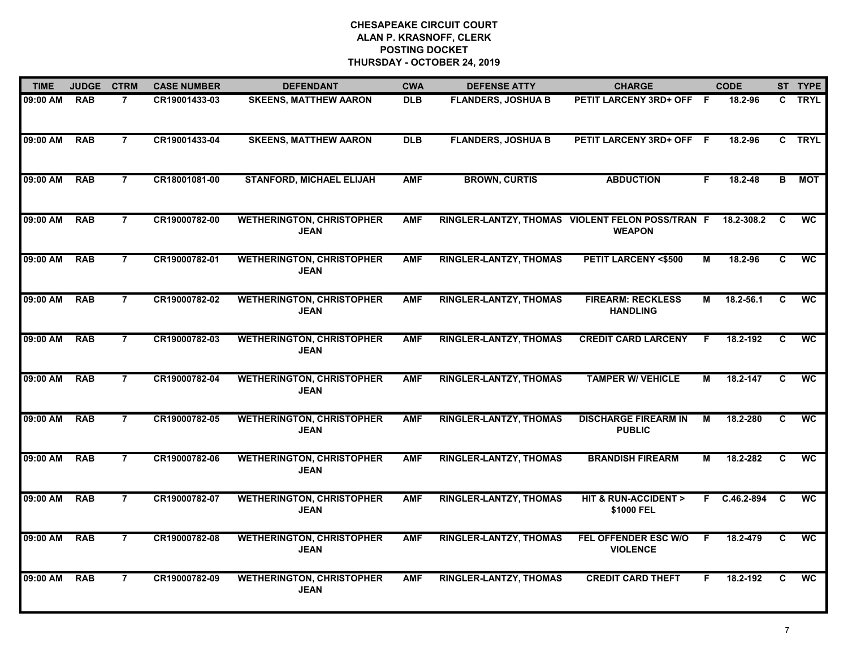| <b>TIME</b> | <b>JUDGE</b> | <b>CTRM</b>    | <b>CASE NUMBER</b> | <b>DEFENDANT</b>                                | <b>CWA</b> | <b>DEFENSE ATTY</b>           | <b>CHARGE</b>                                                     |    | <b>CODE</b>  |    | ST TYPE         |
|-------------|--------------|----------------|--------------------|-------------------------------------------------|------------|-------------------------------|-------------------------------------------------------------------|----|--------------|----|-----------------|
| 09:00 AM    | <b>RAB</b>   | $\overline{7}$ | CR19001433-03      | <b>SKEENS, MATTHEW AARON</b>                    | <b>DLB</b> | <b>FLANDERS, JOSHUA B</b>     | PETIT LARCENY 3RD+ OFF F                                          |    | 18.2-96      |    | C TRYL          |
| 09:00 AM    | <b>RAB</b>   | $\overline{7}$ | CR19001433-04      | <b>SKEENS, MATTHEW AARON</b>                    | <b>DLB</b> | <b>FLANDERS, JOSHUA B</b>     | PETIT LARCENY 3RD+ OFF F                                          |    | 18.2-96      |    | C TRYL          |
| 09:00 AM    | <b>RAB</b>   | $\overline{7}$ | CR18001081-00      | <b>STANFORD, MICHAEL ELIJAH</b>                 | <b>AMF</b> | <b>BROWN, CURTIS</b>          | <b>ABDUCTION</b>                                                  | F. | 18.2-48      | B. | <b>MOT</b>      |
| 09:00 AM    | <b>RAB</b>   | 7              | CR19000782-00      | <b>WETHERINGTON, CHRISTOPHER</b><br><b>JEAN</b> | <b>AMF</b> |                               | RINGLER-LANTZY, THOMAS VIOLENT FELON POSS/TRAN F<br><b>WEAPON</b> |    | 18.2-308.2   | C  | <b>WC</b>       |
| 09:00 AM    | <b>RAB</b>   | $\overline{7}$ | CR19000782-01      | <b>WETHERINGTON, CHRISTOPHER</b><br><b>JEAN</b> | <b>AMF</b> | <b>RINGLER-LANTZY, THOMAS</b> | <b>PETIT LARCENY &lt;\$500</b>                                    | М  | 18.2-96      | C. | $\overline{wc}$ |
| 09:00 AM    | <b>RAB</b>   | $\overline{7}$ | CR19000782-02      | <b>WETHERINGTON, CHRISTOPHER</b><br><b>JEAN</b> | <b>AMF</b> | <b>RINGLER-LANTZY, THOMAS</b> | <b>FIREARM: RECKLESS</b><br><b>HANDLING</b>                       | М  | 18.2-56.1    | C  | <b>WC</b>       |
| 09:00 AM    | <b>RAB</b>   | $\overline{7}$ | CR19000782-03      | <b>WETHERINGTON, CHRISTOPHER</b><br><b>JEAN</b> | <b>AMF</b> | <b>RINGLER-LANTZY, THOMAS</b> | <b>CREDIT CARD LARCENY</b>                                        | F. | 18.2-192     | C  | $\overline{wc}$ |
| 09:00 AM    | <b>RAB</b>   | $\overline{7}$ | CR19000782-04      | <b>WETHERINGTON, CHRISTOPHER</b><br><b>JEAN</b> | <b>AMF</b> | <b>RINGLER-LANTZY, THOMAS</b> | <b>TAMPER W/ VEHICLE</b>                                          | М  | 18.2-147     | C  | <b>WC</b>       |
| 09:00 AM    | <b>RAB</b>   | $\overline{7}$ | CR19000782-05      | <b>WETHERINGTON, CHRISTOPHER</b><br><b>JEAN</b> | <b>AMF</b> | <b>RINGLER-LANTZY, THOMAS</b> | <b>DISCHARGE FIREARM IN</b><br><b>PUBLIC</b>                      | М  | 18.2-280     | C. | <b>WC</b>       |
| 09:00 AM    | <b>RAB</b>   | 7              | CR19000782-06      | <b>WETHERINGTON, CHRISTOPHER</b><br><b>JEAN</b> | <b>AMF</b> | <b>RINGLER-LANTZY, THOMAS</b> | <b>BRANDISH FIREARM</b>                                           | М  | 18.2-282     | C  | <b>WC</b>       |
| 09:00 AM    | <b>RAB</b>   | $\overline{7}$ | CR19000782-07      | <b>WETHERINGTON, CHRISTOPHER</b><br><b>JEAN</b> | <b>AMF</b> | <b>RINGLER-LANTZY, THOMAS</b> | HIT & RUN-ACCIDENT ><br>\$1000 FEL                                |    | F C.46.2-894 | C  | WC              |
| 09:00 AM    | <b>RAB</b>   | $\overline{7}$ | CR19000782-08      | <b>WETHERINGTON, CHRISTOPHER</b><br><b>JEAN</b> | <b>AMF</b> | <b>RINGLER-LANTZY, THOMAS</b> | FEL OFFENDER ESC W/O<br><b>VIOLENCE</b>                           | F. | 18.2-479     | C  | <b>WC</b>       |
| 09:00 AM    | <b>RAB</b>   | $\overline{7}$ | CR19000782-09      | <b>WETHERINGTON, CHRISTOPHER</b><br><b>JEAN</b> | <b>AMF</b> | <b>RINGLER-LANTZY, THOMAS</b> | <b>CREDIT CARD THEFT</b>                                          | F  | 18.2-192     | C. | <b>WC</b>       |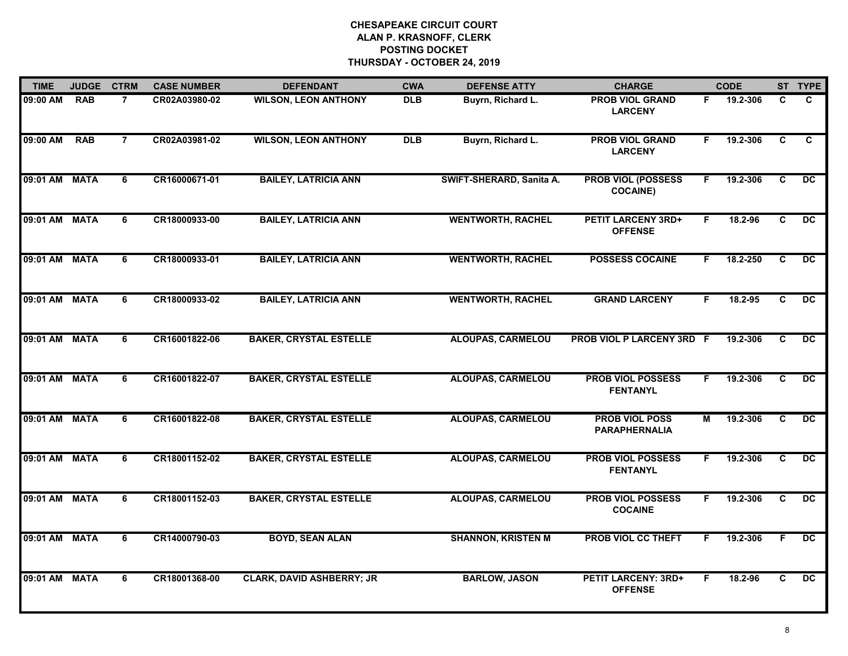| <b>TIME</b>   | <b>JUDGE</b> | <b>CTRM</b>    | <b>CASE NUMBER</b> | <b>DEFENDANT</b>                 | <b>CWA</b> | <b>DEFENSE ATTY</b>       | <b>CHARGE</b>                                 |    | <b>CODE</b> |              | ST TYPE         |
|---------------|--------------|----------------|--------------------|----------------------------------|------------|---------------------------|-----------------------------------------------|----|-------------|--------------|-----------------|
| 09:00 AM      | <b>RAB</b>   | $\overline{7}$ | CR02A03980-02      | <b>WILSON, LEON ANTHONY</b>      | <b>DLB</b> | Buyrn, Richard L.         | <b>PROB VIOL GRAND</b><br><b>LARCENY</b>      | F. | 19.2-306    | C.           | C.              |
| 09:00 AM      | <b>RAB</b>   | $\overline{7}$ | CR02A03981-02      | <b>WILSON, LEON ANTHONY</b>      | <b>DLB</b> | Buyrn, Richard L.         | <b>PROB VIOL GRAND</b><br><b>LARCENY</b>      | F  | 19.2-306    | C            | C               |
| 09:01 AM      | <b>MATA</b>  | 6              | CR16000671-01      | <b>BAILEY, LATRICIA ANN</b>      |            | SWIFT-SHERARD, Sanita A.  | <b>PROB VIOL (POSSESS</b><br><b>COCAINE)</b>  | F. | 19.2-306    | $\mathbf{c}$ | <b>DC</b>       |
| 09:01 AM MATA |              | 6              | CR18000933-00      | <b>BAILEY, LATRICIA ANN</b>      |            | <b>WENTWORTH, RACHEL</b>  | <b>PETIT LARCENY 3RD+</b><br><b>OFFENSE</b>   | F. | 18.2-96     | C            | <b>DC</b>       |
| 09:01 AM MATA |              | 6              | CR18000933-01      | <b>BAILEY, LATRICIA ANN</b>      |            | <b>WENTWORTH, RACHEL</b>  | <b>POSSESS COCAINE</b>                        | F. | 18.2-250    | C.           | DC.             |
| 09:01 AM MATA |              | 6              | CR18000933-02      | <b>BAILEY, LATRICIA ANN</b>      |            | <b>WENTWORTH, RACHEL</b>  | <b>GRAND LARCENY</b>                          | F. | 18.2-95     | C            | $\overline{DC}$ |
| 09:01 AM MATA |              | 6              | CR16001822-06      | <b>BAKER, CRYSTAL ESTELLE</b>    |            | <b>ALOUPAS, CARMELOU</b>  | PROB VIOL P LARCENY 3RD F                     |    | 19.2-306    | C            | $\overline{DC}$ |
| 09:01 AM MATA |              | 6              | CR16001822-07      | <b>BAKER, CRYSTAL ESTELLE</b>    |            | <b>ALOUPAS, CARMELOU</b>  | <b>PROB VIOL POSSESS</b><br><b>FENTANYL</b>   | F. | 19.2-306    | C            | <b>DC</b>       |
| 09:01 AM MATA |              | 6              | CR16001822-08      | <b>BAKER, CRYSTAL ESTELLE</b>    |            | <b>ALOUPAS, CARMELOU</b>  | <b>PROB VIOL POSS</b><br><b>PARAPHERNALIA</b> | М  | 19.2-306    | C            | DC.             |
| 09:01 AM MATA |              | 6              | CR18001152-02      | <b>BAKER, CRYSTAL ESTELLE</b>    |            | <b>ALOUPAS, CARMELOU</b>  | <b>PROB VIOL POSSESS</b><br><b>FENTANYL</b>   | F. | 19.2-306    | C            | DC              |
| 09:01 AM MATA |              | 6              | CR18001152-03      | <b>BAKER, CRYSTAL ESTELLE</b>    |            | <b>ALOUPAS, CARMELOU</b>  | <b>PROB VIOL POSSESS</b><br><b>COCAINE</b>    | F. | 19.2-306    | C.           | $\overline{DC}$ |
| 09:01 AM MATA |              | 6              | CR14000790-03      | <b>BOYD, SEAN ALAN</b>           |            | <b>SHANNON, KRISTEN M</b> | <b>PROB VIOL CC THEFT</b>                     | F. | 19.2-306    | F.           | $\overline{DC}$ |
| 09:01 AM MATA |              | 6              | CR18001368-00      | <b>CLARK, DAVID ASHBERRY; JR</b> |            | <b>BARLOW, JASON</b>      | <b>PETIT LARCENY: 3RD+</b><br><b>OFFENSE</b>  | F  | 18.2-96     | C            | DC              |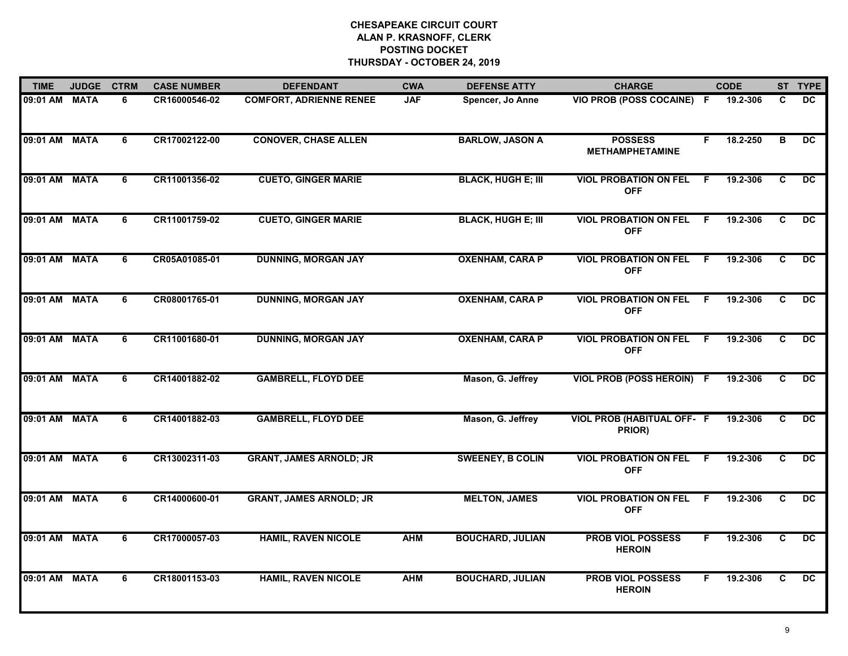| <b>TIME</b>   | <b>JUDGE</b> | <b>CTRM</b> | <b>CASE NUMBER</b> | <b>DEFENDANT</b>               | <b>CWA</b> | <b>DEFENSE ATTY</b>       | <b>CHARGE</b>                               |    | <b>CODE</b> |              | ST TYPE         |
|---------------|--------------|-------------|--------------------|--------------------------------|------------|---------------------------|---------------------------------------------|----|-------------|--------------|-----------------|
| 09:01 AM MATA |              | 6           | CR16000546-02      | <b>COMFORT, ADRIENNE RENEE</b> | <b>JAF</b> | Spencer, Jo Anne          | VIO PROB (POSS COCAINE) F                   |    | 19.2-306    | C            | DC.             |
| 09:01 AM MATA |              | 6           | CR17002122-00      | <b>CONOVER, CHASE ALLEN</b>    |            | <b>BARLOW, JASON A</b>    | <b>POSSESS</b><br><b>METHAMPHETAMINE</b>    | F  | 18.2-250    | B            | $\overline{DC}$ |
| 09:01 AM MATA |              | 6           | CR11001356-02      | <b>CUETO, GINGER MARIE</b>     |            | <b>BLACK, HUGH E; III</b> | <b>VIOL PROBATION ON FEL</b><br><b>OFF</b>  | F  | 19.2-306    | $\mathbf{C}$ | <b>DC</b>       |
| 09:01 AM MATA |              | 6           | CR11001759-02      | <b>CUETO, GINGER MARIE</b>     |            | <b>BLACK, HUGH E; III</b> | <b>VIOL PROBATION ON FEL</b><br><b>OFF</b>  | F. | 19.2-306    | C            | <b>DC</b>       |
| 09:01 AM MATA |              | 6           | CR05A01085-01      | <b>DUNNING, MORGAN JAY</b>     |            | <b>OXENHAM, CARA P</b>    | <b>VIOL PROBATION ON FEL</b><br><b>OFF</b>  | F. | 19.2-306    | C            | DC.             |
| 09:01 AM MATA |              | 6           | CR08001765-01      | <b>DUNNING, MORGAN JAY</b>     |            | <b>OXENHAM, CARA P</b>    | <b>VIOL PROBATION ON FEL</b><br><b>OFF</b>  | -F | 19.2-306    | C            | DC              |
| 09:01 AM MATA |              | 6           | CR11001680-01      | <b>DUNNING, MORGAN JAY</b>     |            | <b>OXENHAM, CARA P</b>    | <b>VIOL PROBATION ON FEL</b><br><b>OFF</b>  | F. | 19.2-306    | C            | DC.             |
| 09:01 AM MATA |              | 6           | CR14001882-02      | <b>GAMBRELL, FLOYD DEE</b>     |            | Mason, G. Jeffrey         | VIOL PROB (POSS HEROIN) F                   |    | 19.2-306    | $\mathbf{C}$ | <b>DC</b>       |
| 09:01 AM      | <b>MATA</b>  | 6           | CR14001882-03      | <b>GAMBRELL, FLOYD DEE</b>     |            | Mason, G. Jeffrey         | <b>VIOL PROB (HABITUAL OFF- F</b><br>PRIOR) |    | 19.2-306    | C.           | <b>DC</b>       |
| 09:01 AM MATA |              | 6           | CR13002311-03      | <b>GRANT, JAMES ARNOLD; JR</b> |            | <b>SWEENEY, B COLIN</b>   | <b>VIOL PROBATION ON FEL</b><br><b>OFF</b>  | F. | 19.2-306    | C            | DC              |
| 09:01 AM MATA |              | 6           | CR14000600-01      | <b>GRANT, JAMES ARNOLD; JR</b> |            | <b>MELTON, JAMES</b>      | <b>VIOL PROBATION ON FEL</b><br><b>OFF</b>  | -F | 19.2-306    | C            | DC              |
| 09:01 AM MATA |              | 6           | CR17000057-03      | <b>HAMIL, RAVEN NICOLE</b>     | <b>AHM</b> | <b>BOUCHARD, JULIAN</b>   | <b>PROB VIOL POSSESS</b><br><b>HEROIN</b>   | F. | 19.2-306    | C            | $\overline{DC}$ |
| 09:01 AM MATA |              | 6           | CR18001153-03      | <b>HAMIL, RAVEN NICOLE</b>     | <b>AHM</b> | <b>BOUCHARD, JULIAN</b>   | <b>PROB VIOL POSSESS</b><br><b>HEROIN</b>   | F. | 19.2-306    | C            | DC.             |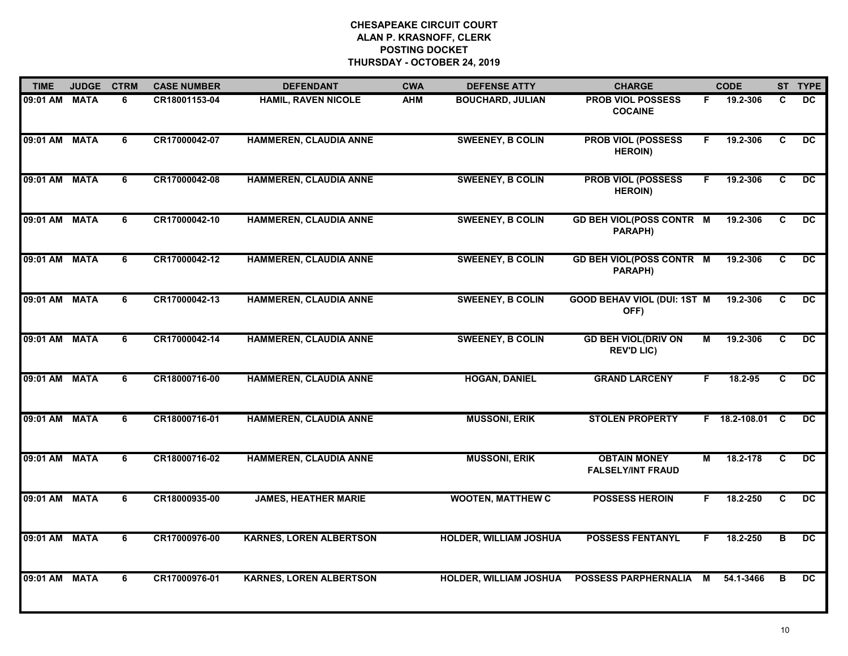| <b>TIME</b>   | <b>JUDGE</b> | <b>CTRM</b>    | <b>CASE NUMBER</b> | <b>DEFENDANT</b>               | <b>CWA</b> | <b>DEFENSE ATTY</b>           | <b>CHARGE</b>                                   |                         | <b>CODE</b>     |                         | ST TYPE         |
|---------------|--------------|----------------|--------------------|--------------------------------|------------|-------------------------------|-------------------------------------------------|-------------------------|-----------------|-------------------------|-----------------|
| 09:01 AM MATA |              | 6              | CR18001153-04      | <b>HAMIL, RAVEN NICOLE</b>     | <b>AHM</b> | <b>BOUCHARD, JULIAN</b>       | <b>PROB VIOL POSSESS</b><br><b>COCAINE</b>      | F.                      | 19.2-306        | C                       | DC.             |
| 09:01 AM MATA |              | 6              | CR17000042-07      | <b>HAMMEREN, CLAUDIA ANNE</b>  |            | <b>SWEENEY, B COLIN</b>       | <b>PROB VIOL (POSSESS</b><br><b>HEROIN)</b>     | F                       | 19.2-306        | C                       | DC              |
| 09:01 AM MATA |              | 6              | CR17000042-08      | <b>HAMMEREN, CLAUDIA ANNE</b>  |            | <b>SWEENEY, B COLIN</b>       | <b>PROB VIOL (POSSESS</b><br><b>HEROIN)</b>     | F.                      | 19.2-306        | C                       | DC              |
| 09:01 AM MATA |              | 6              | CR17000042-10      | <b>HAMMEREN, CLAUDIA ANNE</b>  |            | <b>SWEENEY, B COLIN</b>       | <b>GD BEH VIOL(POSS CONTR M</b><br>PARAPH)      |                         | 19.2-306        | C.                      | DC.             |
| 09:01 AM MATA |              | 6              | CR17000042-12      | <b>HAMMEREN, CLAUDIA ANNE</b>  |            | <b>SWEENEY, B COLIN</b>       | <b>GD BEH VIOL(POSS CONTR M</b><br>PARAPH)      |                         | 19.2-306        | C                       | DC.             |
| 09:01 AM MATA |              | 6              | CR17000042-13      | HAMMEREN, CLAUDIA ANNE         |            | <b>SWEENEY, B COLIN</b>       | <b>GOOD BEHAV VIOL (DUI: 1ST M</b><br>OFF)      |                         | 19.2-306        | C                       | DC              |
| 09:01 AM MATA |              | $\overline{6}$ | CR17000042-14      | <b>HAMMEREN, CLAUDIA ANNE</b>  |            | <b>SWEENEY, B COLIN</b>       | <b>GD BEH VIOL(DRIV ON</b><br><b>REV'D LIC)</b> | $\overline{\mathsf{M}}$ | 19.2-306        | $\overline{c}$          | $\overline{DC}$ |
| 09:01 AM MATA |              | 6              | CR18000716-00      | <b>HAMMEREN, CLAUDIA ANNE</b>  |            | <b>HOGAN, DANIEL</b>          | <b>GRAND LARCENY</b>                            | F                       | 18.2-95         | C                       | $\overline{DC}$ |
| 09:01 AM MATA |              | 6              | CR18000716-01      | <b>HAMMEREN, CLAUDIA ANNE</b>  |            | <b>MUSSONI, ERIK</b>          | <b>STOLEN PROPERTY</b>                          |                         | F 18.2-108.01 C |                         | DC.             |
| 09:01 AM      | <b>MATA</b>  | 6              | CR18000716-02      | <b>HAMMEREN, CLAUDIA ANNE</b>  |            | <b>MUSSONI, ERIK</b>          | <b>OBTAIN MONEY</b><br><b>FALSELY/INT FRAUD</b> | М                       | 18.2-178        | $\overline{c}$          | $\overline{DC}$ |
| 09:01 AM MATA |              | 6              | CR18000935-00      | <b>JAMES, HEATHER MARIE</b>    |            | <b>WOOTEN, MATTHEW C</b>      | <b>POSSESS HEROIN</b>                           | F.                      | 18.2-250        | C                       | $\overline{DC}$ |
| 09:01 AM MATA |              | 6              | CR17000976-00      | <b>KARNES, LOREN ALBERTSON</b> |            | <b>HOLDER, WILLIAM JOSHUA</b> | <b>POSSESS FENTANYL</b>                         | F.                      | 18.2-250        | $\overline{\mathbf{B}}$ | $\overline{DC}$ |
| 09:01 AM MATA |              | 6              | CR17000976-01      | <b>KARNES, LOREN ALBERTSON</b> |            | <b>HOLDER, WILLIAM JOSHUA</b> | <b>POSSESS PARPHERNALIA</b>                     | М                       | 54.1-3466       | в                       | <b>DC</b>       |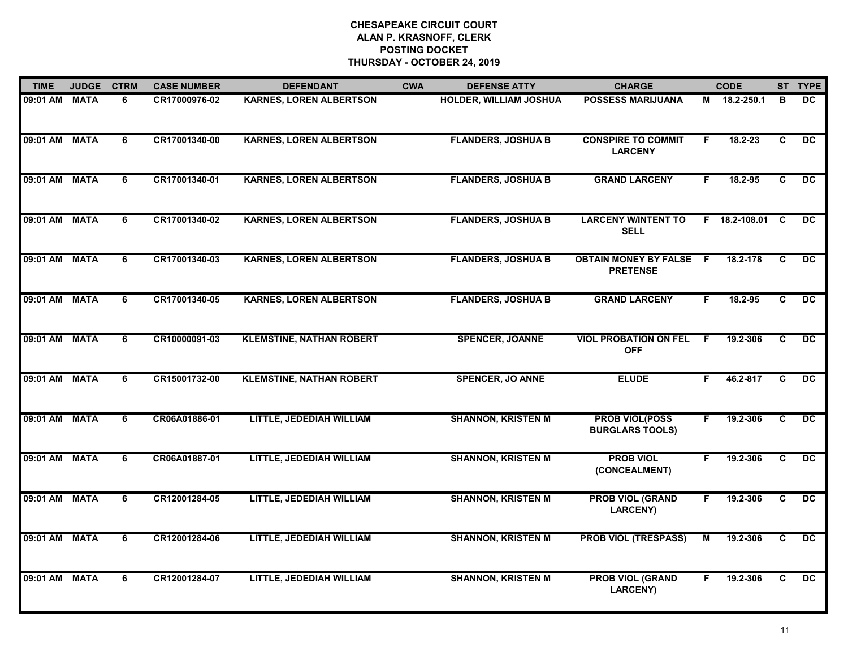| <b>TIME</b>   | <b>JUDGE</b> | <b>CTRM</b> | <b>CASE NUMBER</b> | <b>DEFENDANT</b>                | <b>CWA</b> | <b>DEFENSE ATTY</b>           | <b>CHARGE</b>                                   |     | <b>CODE</b>   |          | ST TYPE         |
|---------------|--------------|-------------|--------------------|---------------------------------|------------|-------------------------------|-------------------------------------------------|-----|---------------|----------|-----------------|
| 09:01 AM MATA |              | 6           | CR17000976-02      | <b>KARNES, LOREN ALBERTSON</b>  |            | <b>HOLDER, WILLIAM JOSHUA</b> | <b>POSSESS MARIJUANA</b>                        |     | M 18.2-250.1  | B        | DC.             |
| 09:01 AM MATA |              | 6           | CR17001340-00      | <b>KARNES, LOREN ALBERTSON</b>  |            | <b>FLANDERS, JOSHUA B</b>     | <b>CONSPIRE TO COMMIT</b><br><b>LARCENY</b>     | F.  | $18.2 - 23$   | C        | $\overline{DC}$ |
| 09:01 AM MATA |              | 6           | CR17001340-01      | <b>KARNES, LOREN ALBERTSON</b>  |            | <b>FLANDERS, JOSHUA B</b>     | <b>GRAND LARCENY</b>                            | F.  | 18.2-95       | C        | DC              |
| 09:01 AM MATA |              | 6           | CR17001340-02      | <b>KARNES, LOREN ALBERTSON</b>  |            | <b>FLANDERS, JOSHUA B</b>     | <b>LARCENY W/INTENT TO</b><br><b>SELL</b>       |     | F 18.2-108.01 | <b>C</b> | DC.             |
| 09:01 AM MATA |              | 6           | CR17001340-03      | <b>KARNES, LOREN ALBERTSON</b>  |            | <b>FLANDERS, JOSHUA B</b>     | <b>OBTAIN MONEY BY FALSE</b><br><b>PRETENSE</b> | - F | 18.2-178      | C.       | DC.             |
| 09:01 AM MATA |              | 6           | CR17001340-05      | <b>KARNES, LOREN ALBERTSON</b>  |            | <b>FLANDERS, JOSHUA B</b>     | <b>GRAND LARCENY</b>                            | F.  | 18.2-95       | C        | DC              |
| 09:01 AM MATA |              | 6           | CR10000091-03      | <b>KLEMSTINE, NATHAN ROBERT</b> |            | <b>SPENCER, JOANNE</b>        | <b>VIOL PROBATION ON FEL</b><br><b>OFF</b>      | F.  | 19.2-306      | C        | $\overline{DC}$ |
| 09:01 AM MATA |              | 6           | CR15001732-00      | <b>KLEMSTINE, NATHAN ROBERT</b> |            | <b>SPENCER, JO ANNE</b>       | <b>ELUDE</b>                                    | F   | 46.2-817      | C        | <b>DC</b>       |
| 09:01 AM MATA |              | 6           | CR06A01886-01      | LITTLE, JEDEDIAH WILLIAM        |            | <b>SHANNON, KRISTEN M</b>     | <b>PROB VIOL(POSS</b><br><b>BURGLARS TOOLS)</b> | F   | 19.2-306      | C        | DC              |
| 09:01 AM MATA |              | 6           | CR06A01887-01      | <b>LITTLE, JEDEDIAH WILLIAM</b> |            | <b>SHANNON, KRISTEN M</b>     | <b>PROB VIOL</b><br>(CONCEALMENT)               | F.  | 19.2-306      | C        | $\overline{DC}$ |
| 09:01 AM MATA |              | 6           | CR12001284-05      | LITTLE, JEDEDIAH WILLIAM        |            | <b>SHANNON, KRISTEN M</b>     | <b>PROB VIOL (GRAND</b><br><b>LARCENY)</b>      | F.  | 19.2-306      | C.       | DC              |
| 09:01 AM MATA |              | 6           | CR12001284-06      | LITTLE, JEDEDIAH WILLIAM        |            | <b>SHANNON, KRISTEN M</b>     | <b>PROB VIOL (TRESPASS)</b>                     | M   | 19.2-306      | C        | DC              |
| 09:01 AM MATA |              | 6           | CR12001284-07      | LITTLE, JEDEDIAH WILLIAM        |            | <b>SHANNON, KRISTEN M</b>     | <b>PROB VIOL (GRAND</b><br><b>LARCENY)</b>      | F   | 19.2-306      | C        | DC              |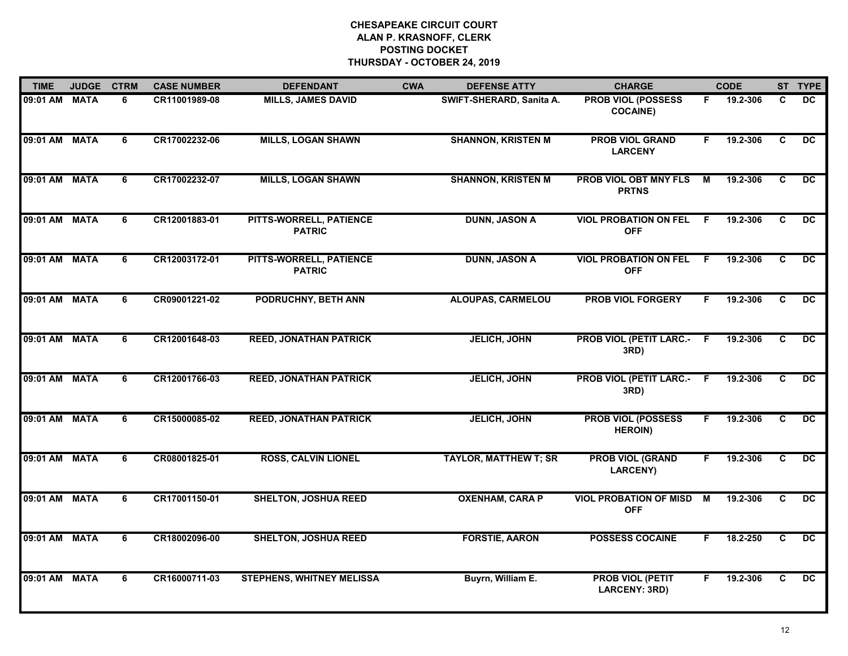| <b>TIME</b>   | <b>JUDGE</b> | <b>CTRM</b> | <b>CASE NUMBER</b> | <b>DEFENDANT</b>                         | <b>CWA</b> | <b>DEFENSE ATTY</b>          | <b>CHARGE</b>                                   |     | <b>CODE</b> |                | ST TYPE         |
|---------------|--------------|-------------|--------------------|------------------------------------------|------------|------------------------------|-------------------------------------------------|-----|-------------|----------------|-----------------|
| 09:01 AM MATA |              | 6           | CR11001989-08      | <b>MILLS, JAMES DAVID</b>                |            | SWIFT-SHERARD, Sanita A.     | <b>PROB VIOL (POSSESS</b><br><b>COCAINE)</b>    | F.  | 19.2-306    | C              | DC              |
| 09:01 AM MATA |              | 6           | CR17002232-06      | <b>MILLS, LOGAN SHAWN</b>                |            | <b>SHANNON, KRISTEN M</b>    | <b>PROB VIOL GRAND</b><br><b>LARCENY</b>        | F.  | 19.2-306    | $\overline{c}$ | $\overline{DC}$ |
| 09:01 AM MATA |              | 6           | CR17002232-07      | <b>MILLS, LOGAN SHAWN</b>                |            | <b>SHANNON, KRISTEN M</b>    | <b>PROB VIOL OBT MNY FLS</b><br><b>PRTNS</b>    | M   | 19.2-306    | $\mathbf{C}$   | $\overline{DC}$ |
| 09:01 AM MATA |              | 6           | CR12001883-01      | PITTS-WORRELL, PATIENCE<br><b>PATRIC</b> |            | <b>DUNN, JASON A</b>         | <b>VIOL PROBATION ON FEL</b><br><b>OFF</b>      | E   | 19.2-306    | C              | <b>DC</b>       |
| 09:01 AM MATA |              | 6           | CR12003172-01      | PITTS-WORRELL, PATIENCE<br><b>PATRIC</b> |            | <b>DUNN, JASON A</b>         | <b>VIOL PROBATION ON FEL</b><br><b>OFF</b>      | - F | 19.2-306    | C              | $\overline{DC}$ |
| 09:01 AM MATA |              | 6           | CR09001221-02      | <b>PODRUCHNY, BETH ANN</b>               |            | <b>ALOUPAS, CARMELOU</b>     | <b>PROB VIOL FORGERY</b>                        | F.  | 19.2-306    | C.             | DC              |
| 09:01 AM MATA |              | 6           | CR12001648-03      | <b>REED, JONATHAN PATRICK</b>            |            | <b>JELICH, JOHN</b>          | <b>PROB VIOL (PETIT LARC.- F</b><br>3RD)        |     | 19.2-306    | C              | $\overline{DC}$ |
| 09:01 AM MATA |              | 6           | CR12001766-03      | <b>REED, JONATHAN PATRICK</b>            |            | <b>JELICH, JOHN</b>          | <b>PROB VIOL (PETIT LARC.- F</b><br>3RD)        |     | 19.2-306    | C              | $\overline{DC}$ |
| 09:01 AM MATA |              | 6           | CR15000085-02      | <b>REED, JONATHAN PATRICK</b>            |            | <b>JELICH, JOHN</b>          | <b>PROB VIOL (POSSESS</b><br><b>HEROIN)</b>     | F.  | 19.2-306    | C              | <b>DC</b>       |
| 09:01 AM MATA |              | 6           | CR08001825-01      | <b>ROSS, CALVIN LIONEL</b>               |            | <b>TAYLOR, MATTHEW T; SR</b> | <b>PROB VIOL (GRAND</b><br><b>LARCENY)</b>      | F.  | 19.2-306    | C              | $\overline{DC}$ |
| 09:01 AM MATA |              | 6           | CR17001150-01      | <b>SHELTON, JOSHUA REED</b>              |            | <b>OXENHAM, CARA P</b>       | <b>VIOL PROBATION OF MISD</b><br><b>OFF</b>     | M   | 19.2-306    | C              | DC              |
| 09:01 AM MATA |              | 6           | CR18002096-00      | <b>SHELTON, JOSHUA REED</b>              |            | <b>FORSTIE, AARON</b>        | <b>POSSESS COCAINE</b>                          | F.  | 18.2-250    | C              | DC              |
| 09:01 AM MATA |              | 6           | CR16000711-03      | <b>STEPHENS, WHITNEY MELISSA</b>         |            | Buyrn, William E.            | <b>PROB VIOL (PETIT</b><br><b>LARCENY: 3RD)</b> | F   | 19.2-306    | C.             | DC              |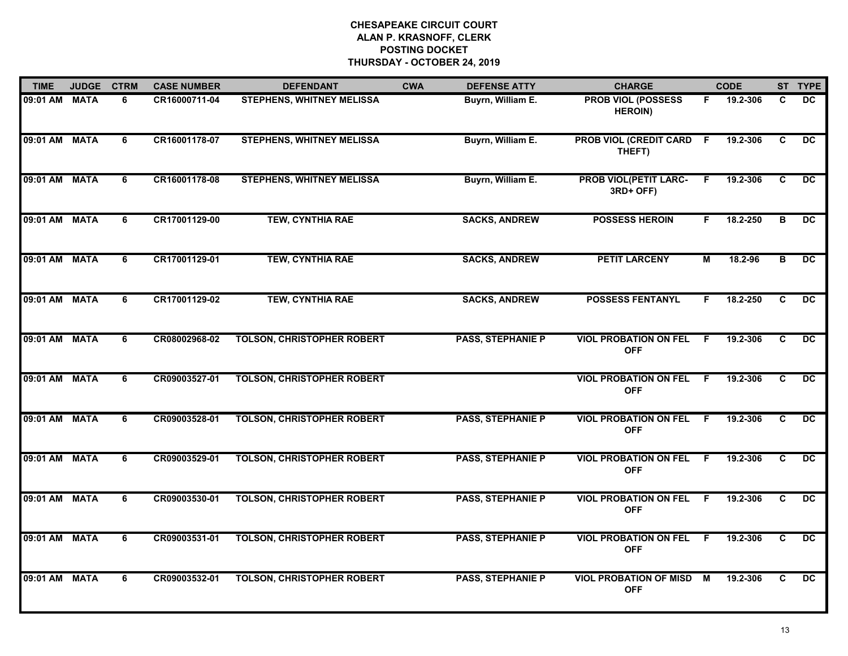| <b>TIME</b>   | <b>JUDGE</b> | <b>CTRM</b>    | <b>CASE NUMBER</b> | <b>DEFENDANT</b>                  | <b>CWA</b> | <b>DEFENSE ATTY</b>      | <b>CHARGE</b>                               |     | <b>CODE</b> |              | ST TYPE         |
|---------------|--------------|----------------|--------------------|-----------------------------------|------------|--------------------------|---------------------------------------------|-----|-------------|--------------|-----------------|
| 09:01 AM MATA |              | 6              | CR16000711-04      | <b>STEPHENS, WHITNEY MELISSA</b>  |            | Buyrn, William E.        | <b>PROB VIOL (POSSESS</b><br><b>HEROIN)</b> | F.  | 19.2-306    | C            | <b>DC</b>       |
| 09:01 AM      | <b>MATA</b>  | 6              | CR16001178-07      | <b>STEPHENS, WHITNEY MELISSA</b>  |            | Buyrn, William E.        | <b>PROB VIOL (CREDIT CARD F</b><br>THEFT)   |     | 19.2-306    | C            | DC              |
| 09:01 AM      | <b>MATA</b>  | 6              | CR16001178-08      | <b>STEPHENS, WHITNEY MELISSA</b>  |            | Buyrn, William E.        | <b>PROB VIOL(PETIT LARC-</b><br>3RD+ OFF)   | E   | 19.2-306    | $\mathbf{C}$ | <b>DC</b>       |
| 09:01 AM      | <b>MATA</b>  | 6              | CR17001129-00      | <b>TEW, CYNTHIA RAE</b>           |            | <b>SACKS, ANDREW</b>     | <b>POSSESS HEROIN</b>                       | F.  | 18.2-250    | B            | DC.             |
| 09:01 AM      | <b>MATA</b>  | 6              | CR17001129-01      | <b>TEW, CYNTHIA RAE</b>           |            | <b>SACKS, ANDREW</b>     | <b>PETIT LARCENY</b>                        | M   | 18.2-96     | B            | $\overline{DC}$ |
| 09:01 AM MATA |              | 6              | CR17001129-02      | TEW, CYNTHIA RAE                  |            | <b>SACKS, ANDREW</b>     | <b>POSSESS FENTANYL</b>                     | F.  | 18.2-250    | C.           | DC              |
| 09:01 AM      | <b>MATA</b>  | $\overline{6}$ | CR08002968-02      | <b>TOLSON, CHRISTOPHER ROBERT</b> |            | <b>PASS, STEPHANIE P</b> | <b>VIOL PROBATION ON FEL</b><br><b>OFF</b>  | F.  | 19.2-306    | C            | $\overline{DC}$ |
| 09:01 AM MATA |              | 6              | CR09003527-01      | <b>TOLSON, CHRISTOPHER ROBERT</b> |            |                          | <b>VIOL PROBATION ON FEL</b><br><b>OFF</b>  | F.  | 19.2-306    | C            | DC              |
| 09:01 AM      | <b>MATA</b>  | 6              | CR09003528-01      | <b>TOLSON, CHRISTOPHER ROBERT</b> |            | <b>PASS, STEPHANIE P</b> | <b>VIOL PROBATION ON FEL</b><br><b>OFF</b>  | -F  | 19.2-306    | C            | DC              |
| 09:01 AM      | <b>MATA</b>  | 6              | CR09003529-01      | <b>TOLSON, CHRISTOPHER ROBERT</b> |            | <b>PASS, STEPHANIE P</b> | <b>VIOL PROBATION ON FEL</b><br><b>OFF</b>  | -F. | 19.2-306    | C            | $\overline{DC}$ |
| 09:01 AM MATA |              | 6              | CR09003530-01      | <b>TOLSON, CHRISTOPHER ROBERT</b> |            | <b>PASS, STEPHANIE P</b> | <b>VIOL PROBATION ON FEL</b><br><b>OFF</b>  | F.  | 19.2-306    | C.           | $\overline{DC}$ |
| 09:01 AM      | <b>MATA</b>  | $\overline{6}$ | CR09003531-01      | <b>TOLSON, CHRISTOPHER ROBERT</b> |            | <b>PASS, STEPHANIE P</b> | <b>VIOL PROBATION ON FEL</b><br><b>OFF</b>  | F.  | 19.2-306    | C            | $\overline{DC}$ |
| 09:01 AM      | <b>MATA</b>  | 6              | CR09003532-01      | <b>TOLSON, CHRISTOPHER ROBERT</b> |            | <b>PASS, STEPHANIE P</b> | <b>VIOL PROBATION OF MISD</b><br><b>OFF</b> | M   | 19.2-306    | C            | <b>DC</b>       |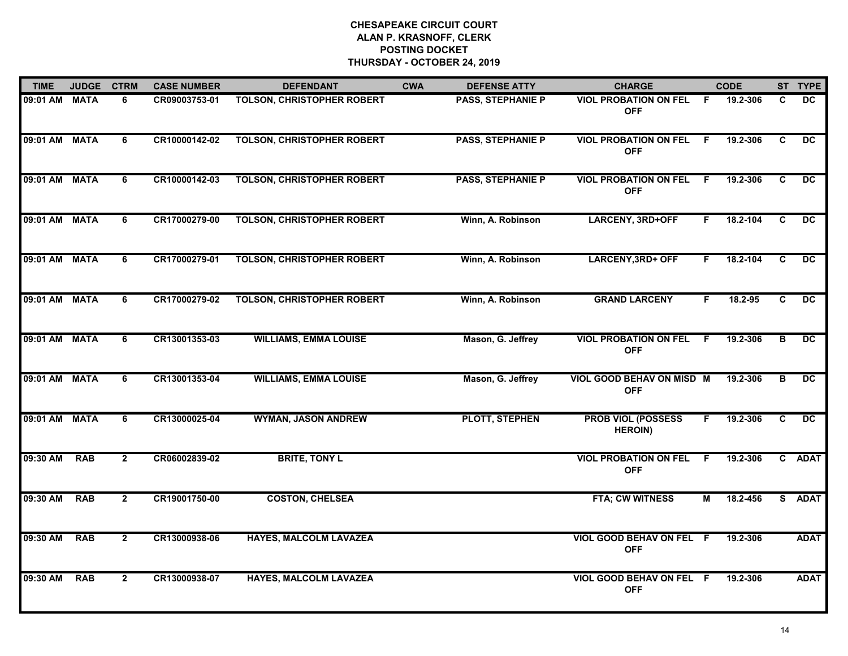| <b>TIME</b>   | <b>JUDGE</b> | <b>CTRM</b>    | <b>CASE NUMBER</b> | <b>DEFENDANT</b>                  | <b>CWA</b> | <b>DEFENSE ATTY</b>      | <b>CHARGE</b>                                  | <b>CODE</b> |          |    | ST TYPE         |
|---------------|--------------|----------------|--------------------|-----------------------------------|------------|--------------------------|------------------------------------------------|-------------|----------|----|-----------------|
| 09:01 AM MATA |              | 6              | CR09003753-01      | <b>TOLSON, CHRISTOPHER ROBERT</b> |            | <b>PASS, STEPHANIE P</b> | <b>VIOL PROBATION ON FEL</b><br><b>OFF</b>     | F.          | 19.2-306 | C  | DC.             |
| 09:01 AM MATA |              | 6              | CR10000142-02      | <b>TOLSON, CHRISTOPHER ROBERT</b> |            | <b>PASS, STEPHANIE P</b> | <b>VIOL PROBATION ON FEL</b><br><b>OFF</b>     | F.          | 19.2-306 | C  | $\overline{DC}$ |
| 09:01 AM MATA |              | 6              | CR10000142-03      | <b>TOLSON, CHRISTOPHER ROBERT</b> |            | <b>PASS, STEPHANIE P</b> | <b>VIOL PROBATION ON FEL</b><br><b>OFF</b>     | F           | 19.2-306 | C  | DC              |
| 09:01 AM MATA |              | 6              | CR17000279-00      | <b>TOLSON, CHRISTOPHER ROBERT</b> |            | Winn, A. Robinson        | <b>LARCENY, 3RD+OFF</b>                        | F           | 18.2-104 | C. | <b>DC</b>       |
| 09:01 AM      | <b>MATA</b>  | 6              | CR17000279-01      | <b>TOLSON, CHRISTOPHER ROBERT</b> |            | Winn, A. Robinson        | <b>LARCENY, 3RD+ OFF</b>                       | F.          | 18.2-104 | C  | DC              |
| 09:01 AM MATA |              | 6              | CR17000279-02      | <b>TOLSON, CHRISTOPHER ROBERT</b> |            | Winn, A. Robinson        | <b>GRAND LARCENY</b>                           | F.          | 18.2-95  | C. | DC              |
| 09:01 AM MATA |              | 6              | CR13001353-03      | <b>WILLIAMS, EMMA LOUISE</b>      |            | Mason, G. Jeffrey        | <b>VIOL PROBATION ON FEL</b><br><b>OFF</b>     | F.          | 19.2-306 | в  | DC              |
| 09:01 AM MATA |              | 6              | CR13001353-04      | <b>WILLIAMS, EMMA LOUISE</b>      |            | Mason, G. Jeffrey        | <b>VIOL GOOD BEHAV ON MISD M</b><br><b>OFF</b> |             | 19.2-306 | в  | DC              |
| 09:01 AM MATA |              | 6              | CR13000025-04      | <b>WYMAN, JASON ANDREW</b>        |            | <b>PLOTT, STEPHEN</b>    | <b>PROB VIOL (POSSESS</b><br><b>HEROIN)</b>    | F.          | 19.2-306 | C  | DC.             |
| 09:30 AM      | <b>RAB</b>   | $\overline{2}$ | CR06002839-02      | <b>BRITE, TONY L</b>              |            |                          | <b>VIOL PROBATION ON FEL</b><br><b>OFF</b>     | -F          | 19.2-306 |    | C ADAT          |
| 09:30 AM      | <b>RAB</b>   | $\overline{2}$ | CR19001750-00      | <b>COSTON, CHELSEA</b>            |            |                          | FTA; CW WITNESS                                | м           | 18.2-456 |    | S ADAT          |
| 09:30 AM      | <b>RAB</b>   | $\overline{2}$ | CR13000938-06      | <b>HAYES, MALCOLM LAVAZEA</b>     |            |                          | VIOL GOOD BEHAV ON FEL F<br><b>OFF</b>         |             | 19.2-306 |    | <b>ADAT</b>     |
| 09:30 AM      | <b>RAB</b>   | $\mathbf{2}$   | CR13000938-07      | <b>HAYES, MALCOLM LAVAZEA</b>     |            |                          | VIOL GOOD BEHAV ON FEL F<br><b>OFF</b>         |             | 19.2-306 |    | <b>ADAT</b>     |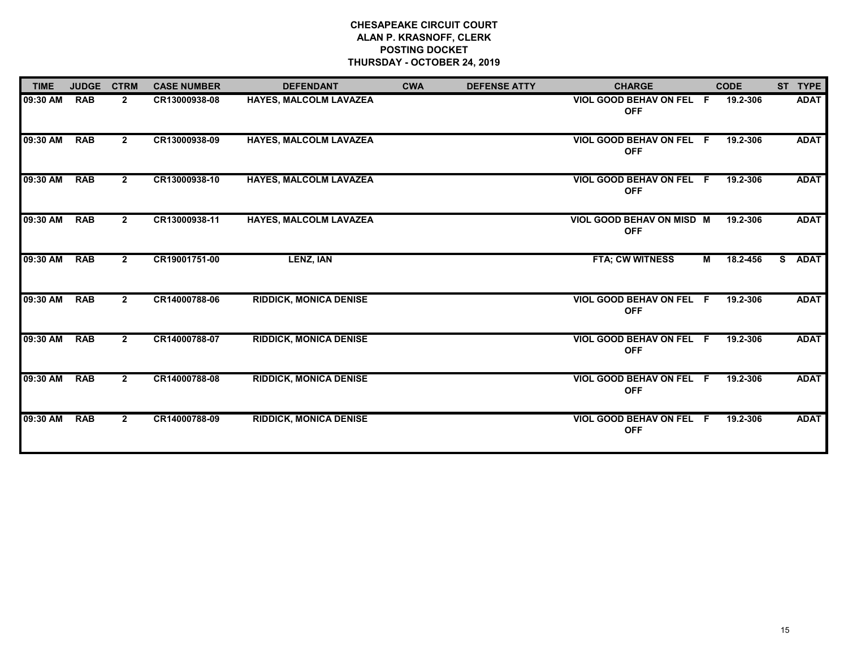| <b>TIME</b> | <b>JUDGE</b> | <b>CTRM</b>    | <b>CASE NUMBER</b> | <b>DEFENDANT</b>              | <b>CWA</b> | <b>DEFENSE ATTY</b> | <b>CHARGE</b>                                 |                | <b>CODE</b> |    | ST TYPE     |
|-------------|--------------|----------------|--------------------|-------------------------------|------------|---------------------|-----------------------------------------------|----------------|-------------|----|-------------|
| 09:30 AM    | <b>RAB</b>   | $\mathbf{2}$   | CR13000938-08      | HAYES, MALCOLM LAVAZEA        |            |                     | VIOL GOOD BEHAV ON FEL F<br><b>OFF</b>        |                | 19.2-306    |    | <b>ADAT</b> |
| 09:30 AM    | <b>RAB</b>   | $\mathbf{2}$   | CR13000938-09      | <b>HAYES, MALCOLM LAVAZEA</b> |            |                     | VIOL GOOD BEHAV ON FEL F<br><b>OFF</b>        |                | 19.2-306    |    | <b>ADAT</b> |
| 09:30 AM    | <b>RAB</b>   | $\mathbf{2}$   | CR13000938-10      | <b>HAYES, MALCOLM LAVAZEA</b> |            |                     | VIOL GOOD BEHAV ON FEL F<br><b>OFF</b>        |                | 19.2-306    |    | <b>ADAT</b> |
| 09:30 AM    | <b>RAB</b>   | $\mathbf{2}$   | CR13000938-11      | HAYES, MALCOLM LAVAZEA        |            |                     | VIOL GOOD BEHAV ON MISD M<br><b>OFF</b>       |                | 19.2-306    |    | <b>ADAT</b> |
| 09:30 AM    | <b>RAB</b>   | $2^{\circ}$    | CR19001751-00      | <b>LENZ, IAN</b>              |            |                     | <b>FTA; CW WITNESS</b>                        | $\blacksquare$ | 18.2-456    | S. | <b>ADAT</b> |
| 09:30 AM    | <b>RAB</b>   | $2^{\circ}$    | CR14000788-06      | <b>RIDDICK, MONICA DENISE</b> |            |                     | <b>VIOL GOOD BEHAV ON FEL F</b><br><b>OFF</b> |                | 19.2-306    |    | <b>ADAT</b> |
| 09:30 AM    | <b>RAB</b>   | $\overline{2}$ | CR14000788-07      | <b>RIDDICK, MONICA DENISE</b> |            |                     | <b>VIOL GOOD BEHAV ON FEL F</b><br><b>OFF</b> |                | 19.2-306    |    | <b>ADAT</b> |
| 09:30 AM    | <b>RAB</b>   | $\overline{2}$ | CR14000788-08      | <b>RIDDICK, MONICA DENISE</b> |            |                     | VIOL GOOD BEHAV ON FEL F<br><b>OFF</b>        |                | 19.2-306    |    | <b>ADAT</b> |
| 09:30 AM    | <b>RAB</b>   | $\mathbf{2}$   | CR14000788-09      | <b>RIDDICK, MONICA DENISE</b> |            |                     | VIOL GOOD BEHAV ON FEL F<br><b>OFF</b>        |                | 19.2-306    |    | <b>ADAT</b> |